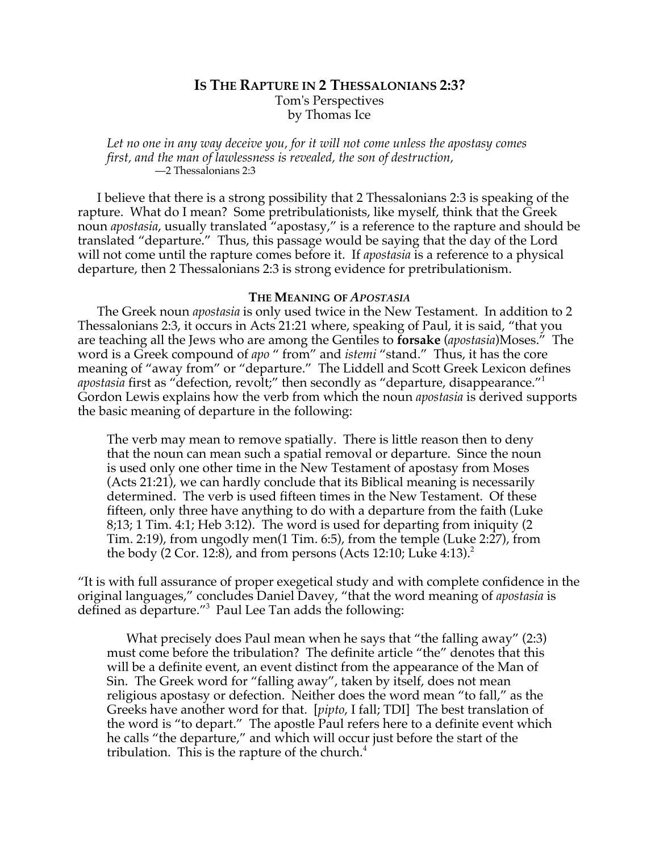# **IS THE RAPTURE IN 2 THESSALONIANS 2:3?** Tom's Perspectives by Thomas Ice

*Let no one in any way deceive you, for it will not come unless the apostasy comes first, and the man of lawlessness is revealed, the son of destruction,* —2 Thessalonians 2:3

I believe that there is a strong possibility that 2 Thessalonians 2:3 is speaking of the rapture. What do I mean? Some pretribulationists, like myself, think that the Greek noun *apostasia*, usually translated "apostasy," is a reference to the rapture and should be translated "departure." Thus, this passage would be saying that the day of the Lord will not come until the rapture comes before it. If *apostasia* is a reference to a physical departure, then 2 Thessalonians 2:3 is strong evidence for pretribulationism.

## **THE MEANING OF** *APOSTASIA*

The Greek noun *apostasia* is only used twice in the New Testament. In addition to 2 Thessalonians 2:3, it occurs in Acts 21:21 where, speaking of Paul, it is said, "that you are teaching all the Jews who are among the Gentiles to **forsake** (*apostasia*)Moses." The word is a Greek compound of *apo* " from" and *istemi* "stand." Thus, it has the core meaning of "away from" or "departure." The Liddell and Scott Greek Lexicon defines *apostasia* first as "defection, revolt;" then secondly as "departure, disappearance."<sup>1</sup> Gordon Lewis explains how the verb from which the noun *apostasia* is derived supports the basic meaning of departure in the following:

The verb may mean to remove spatially. There is little reason then to deny that the noun can mean such a spatial removal or departure. Since the noun is used only one other time in the New Testament of apostasy from Moses (Acts 21:21), we can hardly conclude that its Biblical meaning is necessarily determined. The verb is used fifteen times in the New Testament. Of these fifteen, only three have anything to do with a departure from the faith (Luke 8;13; 1 Tim. 4:1; Heb 3:12). The word is used for departing from iniquity (2 Tim. 2:19), from ungodly men(1 Tim. 6:5), from the temple (Luke 2:27), from the body (2 Cor. 12:8), and from persons (Acts 12:10; Luke 4:13).<sup>2</sup>

"It is with full assurance of proper exegetical study and with complete confidence in the original languages," concludes Daniel Davey, "that the word meaning of *apostasia* is defined as departure."3 Paul Lee Tan adds the following:

What precisely does Paul mean when he says that "the falling away" (2:3) must come before the tribulation? The definite article "the" denotes that this will be a definite event, an event distinct from the appearance of the Man of Sin. The Greek word for "falling away", taken by itself, does not mean religious apostasy or defection. Neither does the word mean "to fall," as the Greeks have another word for that. [*pipto*, I fall; TDI] The best translation of the word is "to depart." The apostle Paul refers here to a definite event which he calls "the departure," and which will occur just before the start of the tribulation. This is the rapture of the church. $4$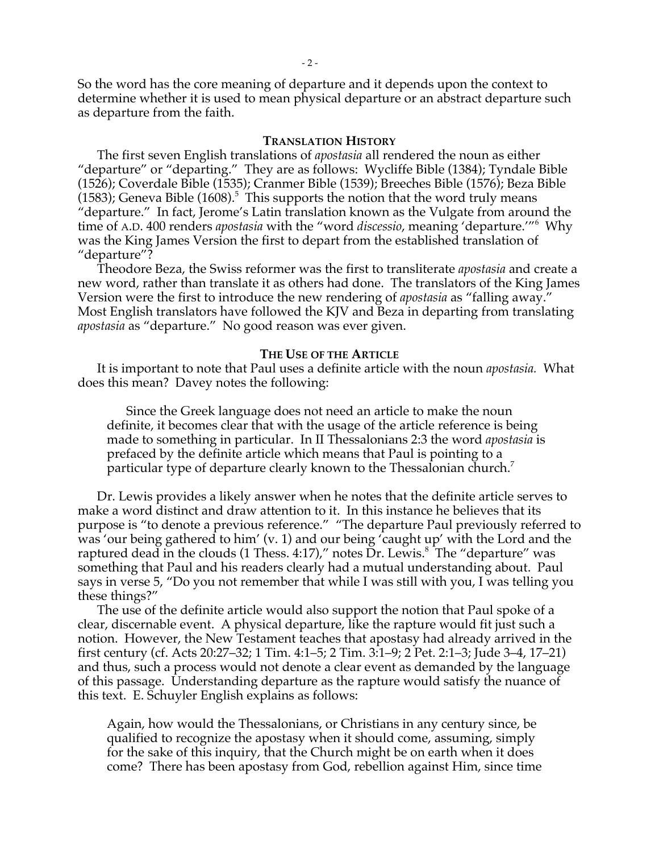So the word has the core meaning of departure and it depends upon the context to determine whether it is used to mean physical departure or an abstract departure such as departure from the faith.

### **TRANSLATION HISTORY**

The first seven English translations of *apostasia* all rendered the noun as either "departure" or "departing." They are as follows: Wycliffe Bible (1384); Tyndale Bible (1526); Coverdale Bible (1535); Cranmer Bible (1539); Breeches Bible (1576); Beza Bible  $(1583)$ ; Geneva Bible  $(1608)$ .<sup>5</sup> This supports the notion that the word truly means "departure." In fact, Jerome's Latin translation known as the Vulgate from around the time of A.D. 400 renders *apostasia* with the "word *discessio*, meaning 'departure.'"6 Why was the King James Version the first to depart from the established translation of "departure"?

Theodore Beza, the Swiss reformer was the first to transliterate *apostasia* and create a new word, rather than translate it as others had done. The translators of the King James Version were the first to introduce the new rendering of *apostasia* as "falling away." Most English translators have followed the KJV and Beza in departing from translating *apostasia* as "departure." No good reason was ever given.

### **THE USE OF THE ARTICLE**

It is important to note that Paul uses a definite article with the noun *apostasia.* What does this mean? Davey notes the following:

Since the Greek language does not need an article to make the noun definite, it becomes clear that with the usage of the article reference is being made to something in particular. In II Thessalonians 2:3 the word *apostasia* is prefaced by the definite article which means that Paul is pointing to a particular type of departure clearly known to the Thessalonian church.<sup>7</sup>

Dr. Lewis provides a likely answer when he notes that the definite article serves to make a word distinct and draw attention to it. In this instance he believes that its purpose is "to denote a previous reference." "The departure Paul previously referred to was 'our being gathered to him' (v. 1) and our being 'caught up' with the Lord and the raptured dead in the clouds (1 Thess. 4:17)," notes Dr. Lewis.<sup>8</sup> The "departure" was something that Paul and his readers clearly had a mutual understanding about. Paul says in verse 5, "Do you not remember that while I was still with you, I was telling you these things?"

The use of the definite article would also support the notion that Paul spoke of a clear, discernable event. A physical departure, like the rapture would fit just such a notion. However, the New Testament teaches that apostasy had already arrived in the first century (cf. Acts 20:27–32; 1 Tim. 4:1–5; 2 Tim. 3:1–9; 2 Pet. 2:1–3; Jude 3–4, 17–21) and thus, such a process would not denote a clear event as demanded by the language of this passage. Understanding departure as the rapture would satisfy the nuance of this text. E. Schuyler English explains as follows:

Again, how would the Thessalonians, or Christians in any century since, be qualified to recognize the apostasy when it should come, assuming, simply for the sake of this inquiry, that the Church might be on earth when it does come? There has been apostasy from God, rebellion against Him, since time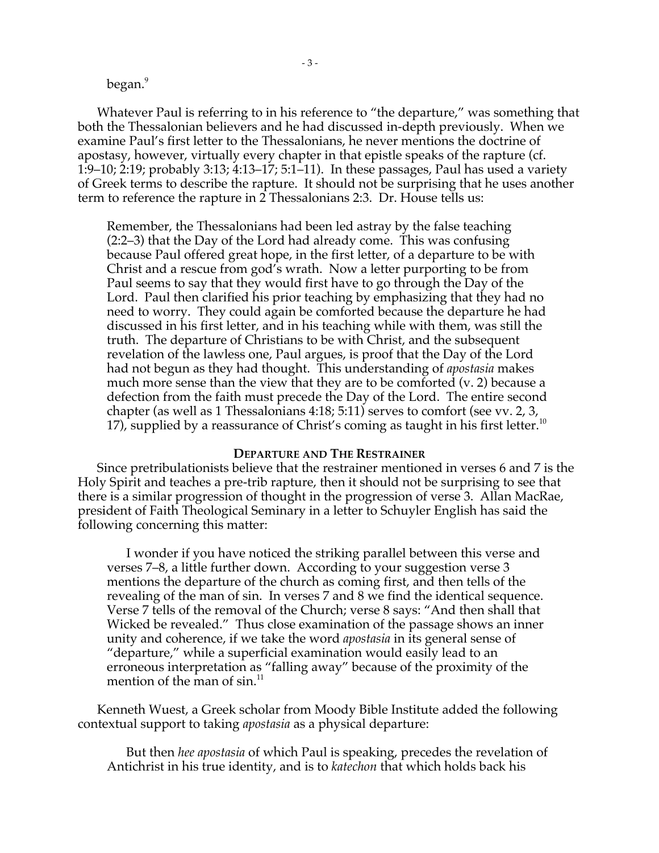### began.<sup>9</sup>

Whatever Paul is referring to in his reference to "the departure," was something that both the Thessalonian believers and he had discussed in-depth previously. When we examine Paul's first letter to the Thessalonians, he never mentions the doctrine of apostasy, however, virtually every chapter in that epistle speaks of the rapture (cf. 1:9–10; 2:19; probably 3:13; 4:13–17; 5:1–11). In these passages, Paul has used a variety of Greek terms to describe the rapture. It should not be surprising that he uses another term to reference the rapture in 2 Thessalonians 2:3. Dr. House tells us:

Remember, the Thessalonians had been led astray by the false teaching (2:2–3) that the Day of the Lord had already come. This was confusing because Paul offered great hope, in the first letter, of a departure to be with Christ and a rescue from god's wrath. Now a letter purporting to be from Paul seems to say that they would first have to go through the Day of the Lord. Paul then clarified his prior teaching by emphasizing that they had no need to worry. They could again be comforted because the departure he had discussed in his first letter, and in his teaching while with them, was still the truth. The departure of Christians to be with Christ, and the subsequent revelation of the lawless one, Paul argues, is proof that the Day of the Lord had not begun as they had thought. This understanding of *apostasia* makes much more sense than the view that they are to be comforted (v. 2) because a defection from the faith must precede the Day of the Lord. The entire second chapter (as well as 1 Thessalonians 4:18; 5:11) serves to comfort (see vv. 2, 3, 17), supplied by a reassurance of Christ's coming as taught in his first letter.<sup>10</sup>

#### **DEPARTURE AND THE RESTRAINER**

Since pretribulationists believe that the restrainer mentioned in verses 6 and 7 is the Holy Spirit and teaches a pre-trib rapture, then it should not be surprising to see that there is a similar progression of thought in the progression of verse 3. Allan MacRae, president of Faith Theological Seminary in a letter to Schuyler English has said the following concerning this matter:

I wonder if you have noticed the striking parallel between this verse and verses 7–8, a little further down. According to your suggestion verse 3 mentions the departure of the church as coming first, and then tells of the revealing of the man of sin. In verses 7 and 8 we find the identical sequence. Verse 7 tells of the removal of the Church; verse 8 says: "And then shall that Wicked be revealed." Thus close examination of the passage shows an inner unity and coherence, if we take the word *apostasia* in its general sense of "departure," while a superficial examination would easily lead to an erroneous interpretation as "falling away" because of the proximity of the mention of the man of sin.<sup>11</sup>

Kenneth Wuest, a Greek scholar from Moody Bible Institute added the following contextual support to taking *apostasia* as a physical departure:

But then *hee apostasia* of which Paul is speaking, precedes the revelation of Antichrist in his true identity, and is to *katechon* that which holds back his